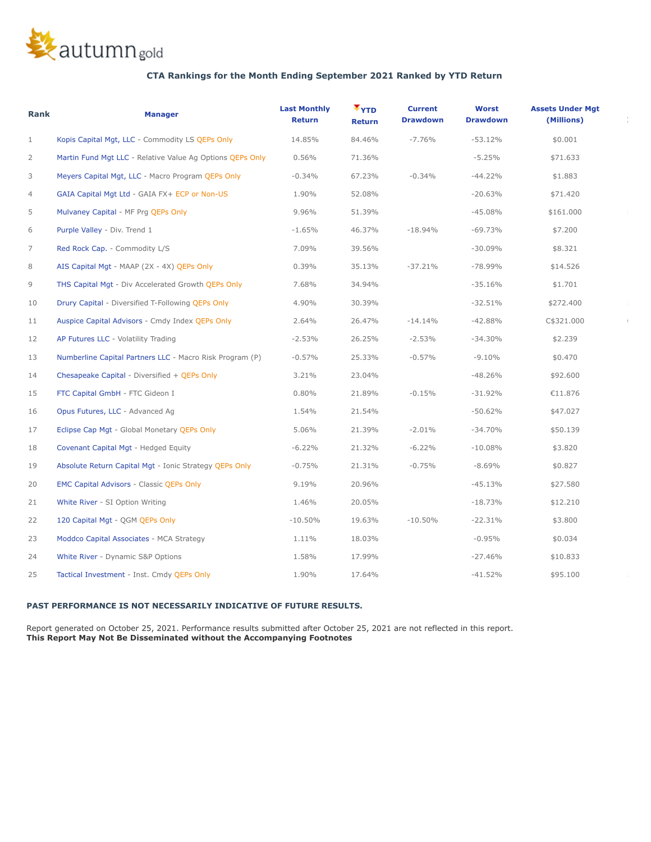

## **CTA Rankings for the Month Ending September 2021 Ranked by YTD Return**

| Rank           | <b>Manager</b>                                            | <b>Last Monthly</b><br>Return | $T_{YTD}$<br><b>Return</b> | <b>Current</b><br><b>Drawdown</b> | <b>Worst</b><br><b>Drawdown</b> | <b>Assets Under Mgt</b><br>(Millions) |  |
|----------------|-----------------------------------------------------------|-------------------------------|----------------------------|-----------------------------------|---------------------------------|---------------------------------------|--|
| $\mathbf{1}$   | Kopis Capital Mgt, LLC - Commodity LS QEPs Only           | 14.85%                        | 84.46%                     | $-7.76%$                          | $-53.12%$                       | \$0.001                               |  |
| $\overline{2}$ | Martin Fund Mgt LLC - Relative Value Ag Options QEPs Only | 0.56%                         | 71.36%                     |                                   | $-5.25%$                        | \$71.633                              |  |
| 3              | Meyers Capital Mgt, LLC - Macro Program QEPs Only         | $-0.34%$                      | 67.23%                     | $-0.34%$                          | $-44.22%$                       | \$1.883                               |  |
| $\overline{4}$ | GAIA Capital Mgt Ltd - GAIA FX+ ECP or Non-US             | 1.90%                         | 52.08%                     |                                   | $-20.63%$                       | \$71.420                              |  |
| 5              | Mulvaney Capital - MF Prg QEPs Only                       | 9.96%                         | 51.39%                     |                                   | $-45.08%$                       | \$161.000                             |  |
| 6              | Purple Valley - Div. Trend 1                              | $-1.65%$                      | 46.37%                     | $-18.94%$                         | $-69.73%$                       | \$7.200                               |  |
| $\overline{7}$ | Red Rock Cap. - Commodity L/S                             | 7.09%                         | 39.56%                     |                                   | $-30.09%$                       | \$8.321                               |  |
| 8              | AIS Capital Mgt - MAAP (2X - 4X) QEPs Only                | 0.39%                         | 35.13%                     | $-37.21%$                         | -78.99%                         | \$14.526                              |  |
| 9              | THS Capital Mgt - Div Accelerated Growth QEPs Only        | 7.68%                         | 34.94%                     |                                   | $-35.16%$                       | \$1.701                               |  |
| 10             | Drury Capital - Diversified T-Following QEPs Only         | 4.90%                         | 30.39%                     |                                   | $-32.51%$                       | \$272.400                             |  |
| 11             | Auspice Capital Advisors - Cmdy Index QEPs Only           | 2.64%                         | 26.47%                     | $-14.14%$                         | $-42.88%$                       | C\$321.000                            |  |
| 12             | AP Futures LLC - Volatility Trading                       | $-2.53%$                      | 26.25%                     | $-2.53%$                          | $-34.30%$                       | \$2.239                               |  |
| 13             | Numberline Capital Partners LLC - Macro Risk Program (P)  | $-0.57%$                      | 25.33%                     | $-0.57%$                          | $-9.10%$                        | \$0.470                               |  |
| 14             | Chesapeake Capital - Diversified + QEPs Only              | 3.21%                         | 23.04%                     |                                   | $-48.26%$                       | \$92.600                              |  |
| 15             | FTC Capital GmbH - FTC Gideon I                           | $0.80\%$                      | 21.89%                     | $-0.15%$                          | $-31.92%$                       | €11.876                               |  |
| 16             | Opus Futures, LLC - Advanced Ag                           | 1.54%                         | 21.54%                     |                                   | $-50.62%$                       | \$47.027                              |  |
| 17             | Eclipse Cap Mgt - Global Monetary QEPs Only               | 5.06%                         | 21.39%                     | $-2.01%$                          | $-34.70%$                       | \$50.139                              |  |
| 18             | Covenant Capital Mgt - Hedged Equity                      | $-6.22%$                      | 21.32%                     | $-6.22%$                          | $-10.08%$                       | \$3.820                               |  |
| 19             | Absolute Return Capital Mgt - Ionic Strategy QEPs Only    | $-0.75%$                      | 21.31%                     | $-0.75%$                          | $-8.69%$                        | \$0.827                               |  |
| 20             | <b>EMC Capital Advisors - Classic QEPs Only</b>           | 9.19%                         | 20.96%                     |                                   | $-45.13%$                       | \$27.580                              |  |
| 21             | White River - SI Option Writing                           | 1.46%                         | 20.05%                     |                                   | $-18.73%$                       | \$12.210                              |  |
| 22             | 120 Capital Mgt - QGM QEPs Only                           | $-10.50%$                     | 19.63%                     | $-10.50\%$                        | $-22.31%$                       | \$3.800                               |  |
| 23             | Moddco Capital Associates - MCA Strategy                  | 1.11%                         | 18.03%                     |                                   | $-0.95%$                        | \$0.034                               |  |
| 24             | White River - Dynamic S&P Options                         | 1.58%                         | 17.99%                     |                                   | $-27.46%$                       | \$10.833                              |  |
| 25             | Tactical Investment - Inst. Cmdy QEPs Only                | 1.90%                         | 17.64%                     |                                   | $-41.52%$                       | \$95,100                              |  |

## **PAST PERFORMANCE IS NOT NECESSARILY INDICATIVE OF FUTURE RESULTS.**

 Report generated on October 25, 2021. Performance results submitted after October 25, 2021 are not reflected in this report. **This Report May Not Be Disseminated without the Accompanying Footnotes**